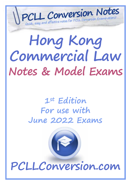# **Hong Kong Commercial Law Notes & Model Exams**

 *D e t a i l e d , u p d a t e d a n d e f f e c t i v e n o t e s f o r P C L L C o n v e r s i o n E x a m i n a t i o n s !*   $\mathbf{H} = \mathbf{H} \times \mathbf{H}$  is a model of the state  $\mathbf{H} = \mathbf{H} \times \mathbf{H}$  and  $\mathbf{H} = \mathbf{H} \times \mathbf{H}$ 

# **1st Edition For use with June 2022 Exams**

**PCLLConversion.com**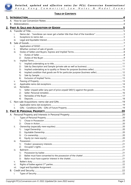

# **TABLE OF CONTENTS**

|  | i.          |    |  |  |  |  |  |
|--|-------------|----|--|--|--|--|--|
|  |             |    |  |  |  |  |  |
|  | ii.<br>iii. |    |  |  |  |  |  |
|  |             |    |  |  |  |  |  |
|  |             |    |  |  |  |  |  |
|  | ı.<br>ii.   |    |  |  |  |  |  |
|  | iii.        |    |  |  |  |  |  |
|  |             | 1) |  |  |  |  |  |
|  |             | 2) |  |  |  |  |  |
|  | iv.         |    |  |  |  |  |  |
|  |             | 1) |  |  |  |  |  |
|  |             | 2) |  |  |  |  |  |
|  |             | 3) |  |  |  |  |  |
|  |             | 4) |  |  |  |  |  |
|  |             | 5) |  |  |  |  |  |
|  |             | 6) |  |  |  |  |  |
|  | v.          |    |  |  |  |  |  |
|  | vi.         |    |  |  |  |  |  |
|  | vii.        |    |  |  |  |  |  |
|  |             | 1) |  |  |  |  |  |
|  |             | 2) |  |  |  |  |  |
|  |             | 3) |  |  |  |  |  |
|  |             | 4) |  |  |  |  |  |
|  |             |    |  |  |  |  |  |
|  |             |    |  |  |  |  |  |
|  | ii.         |    |  |  |  |  |  |
|  |             |    |  |  |  |  |  |
|  |             |    |  |  |  |  |  |
|  | İ.          |    |  |  |  |  |  |
|  |             | 1) |  |  |  |  |  |
|  |             | 2) |  |  |  |  |  |
|  | ii.         |    |  |  |  |  |  |
|  |             | 1) |  |  |  |  |  |
|  |             | 2) |  |  |  |  |  |
|  |             | 3) |  |  |  |  |  |
|  |             | 4) |  |  |  |  |  |
|  | iii.        |    |  |  |  |  |  |
|  |             | 1) |  |  |  |  |  |
|  |             | 2) |  |  |  |  |  |
|  | iv.         |    |  |  |  |  |  |
|  |             | 1) |  |  |  |  |  |
|  |             | 2) |  |  |  |  |  |
|  |             | 3) |  |  |  |  |  |
|  | v.          |    |  |  |  |  |  |
|  | vi.         |    |  |  |  |  |  |
|  | vii.        |    |  |  |  |  |  |
|  |             |    |  |  |  |  |  |
|  | ı.          |    |  |  |  |  |  |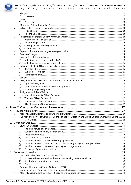

 $\overline{4}$ .

|    | ii.   |                                                                                                        |    |
|----|-------|--------------------------------------------------------------------------------------------------------|----|
|    |       | 1)                                                                                                     |    |
|    | iii.  |                                                                                                        |    |
|    |       | 1)                                                                                                     |    |
|    | iv.   |                                                                                                        |    |
|    | V.    |                                                                                                        |    |
|    |       | 1)                                                                                                     |    |
|    |       | 2)                                                                                                     |    |
|    | vi.   |                                                                                                        |    |
|    |       | 1)                                                                                                     |    |
|    |       | 2)                                                                                                     |    |
|    |       | 3)                                                                                                     |    |
|    |       |                                                                                                        |    |
|    |       | 4)                                                                                                     |    |
|    | vii.  |                                                                                                        |    |
|    | viii. |                                                                                                        |    |
|    | IX.   |                                                                                                        |    |
|    |       | 1)                                                                                                     |    |
|    |       | 2)                                                                                                     |    |
|    | Х.    |                                                                                                        |    |
|    |       | 1)                                                                                                     |    |
|    |       | 2)                                                                                                     |    |
|    |       | 3)                                                                                                     |    |
|    | xi.   |                                                                                                        |    |
|    | xii.  |                                                                                                        |    |
|    |       | 1)                                                                                                     |    |
|    |       | 2)                                                                                                     |    |
|    |       | 3)                                                                                                     |    |
|    | xiii. |                                                                                                        |    |
|    | XIV.  |                                                                                                        |    |
|    |       | 1)                                                                                                     |    |
|    |       | 2)                                                                                                     |    |
|    |       | 3)                                                                                                     |    |
|    |       |                                                                                                        | 27 |
|    |       |                                                                                                        |    |
|    |       |                                                                                                        |    |
|    | ii.   | Function and Power of Consumer Council, Funds for Litigation and Group Litigation Consumer Council  28 |    |
|    |       | 1)                                                                                                     |    |
|    |       |                                                                                                        |    |
| В. |       |                                                                                                        |    |
|    | I.    |                                                                                                        |    |
|    |       | 1)                                                                                                     |    |
|    |       | 2)                                                                                                     |    |
|    |       | 3)                                                                                                     |    |
|    |       | 4)                                                                                                     |    |
|    |       | 5)                                                                                                     |    |
|    |       | 6)                                                                                                     |    |
|    |       | 7)                                                                                                     |    |
|    |       | 8)                                                                                                     |    |
|    |       |                                                                                                        |    |
|    | I.    |                                                                                                        |    |
|    |       | 1)                                                                                                     |    |
|    |       | 2)                                                                                                     |    |
|    |       | 3)                                                                                                     |    |
|    | ii.   |                                                                                                        |    |
|    | iii.  |                                                                                                        |    |
|    | IV.   |                                                                                                        |    |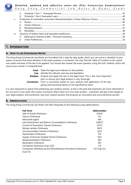

|     | 1)             |  |  |  |
|-----|----------------|--|--|--|
|     | 2)             |  |  |  |
| V.  |                |  |  |  |
|     | 1)             |  |  |  |
|     |                |  |  |  |
|     | 3)             |  |  |  |
|     | $\overline{4}$ |  |  |  |
| vi. |                |  |  |  |
|     | 1)             |  |  |  |
|     |                |  |  |  |
|     |                |  |  |  |

# **1. INTRODUCTION**

#### **A. HOW TO USE CONVERSION NOTES**

The Hong Kong Commercial Law Notes are formatted into a step-by-step guide, which you can use as a checklist in your exams to ensure that every element of the exam question is answered. You may find the Table of Contents to be a quick and useful overview of the law to be applied. You should also answer the exam question using the ILAC method, which will ensure your answer is comprehensive.

| Issue      | State the legal issue relevant to the problem                            |
|------------|--------------------------------------------------------------------------|
| Law        | Identify the relevant case law and legislation                           |
| Analysis   | Analyse and apply the law to the legal issue. This is the most important |
|            | part, so ensure your legal analysis is very thorough.                    |
| Conclusion | Form a conclusion based on your analysis and application of the law,     |
|            | giving some practical advice to the hypothetical client.                 |

It is very important to spend time perfecting your analysis section, as this is the part that examiners are most interested in. Do not worry if you reach the correct conclusion (there often isn't one clear answer) – examiners will give more weight to your legal analysis, and sometimes may even reward answers that propose an innovative and unconventional answer!

## **B. ABBREVIATIONS**

The Hong Kong Commercial Law Notes will refer frequently to the following using abbreviations.

| <b>Full Term</b>                                              | <b>Abbreviation</b> |
|---------------------------------------------------------------|---------------------|
| Sale of Goods Ordinance                                       | SOGO                |
| <b>Factors Ordinance</b>                                      | FO                  |
| Mercantile agent                                              | MA                  |
| Law Amendment and Reform (Consolidation) Ordinance            | LARCO               |
| Control of Exemption Clauses Ordinance                        | CECO                |
| Money Lenders Ordinance                                       | <b>MLO</b>          |
| Unconscionable Contracts Ordinance                            | <b>UCO</b>          |
| Pawnbrokers Ordinance                                         | PO                  |
| Supply of Services (Implied Terms) Ordinance                  | SSO                 |
| Misrepresentation Ordinance                                   | <b>MO</b>           |
| <b>Bankruptcy Ordinance</b>                                   | BO                  |
| Companies Ordinance (Cap. 622)                                | CO                  |
| Companies (Winding Up and Miscellaneous Provisions) Ordinance | CO (Cap 32)         |
| (Cap 32)                                                      |                     |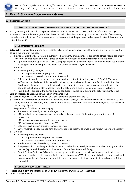

# **2. PART A: SALE AND ACQUISITION OF GOODS**

# **A. TRANSFER OF TITLE**

#### **i. NEMO DAT - "TRANSFEREE CAN NEVER GET A BETTER TITLE THAN THAT OF THE TRANSFEROR"**

 S23(1): where goods are sold by a person who is not the owner (or with consent/authority of owner), the buyer acquires no better title to the goods than the seller had, unless the owner is by his conduct precluded from denying the seller's authority to sell. (i.e. representation by the owner that the purchaser is dealing with ostensible owner or an ostensible agent.)

#### **ii. EXCEPTIONS TO NEMO DAT**

- **Estoppel**: a representation to the buyer that the seller is the owner's agent to sell the goods or a similar rep that the seller is the owner of the goods.
	- $\circ$  e.g Apparent authority / Ostensible authority= the authority of an agent as it appears to others, regardless of any limit to the agent's actual authority agreed to between principal and agent: *Metal Manufacturers v Lewis*
		- Apparent authority operates by way of estoppel; any person giving the impression that an agent has authority is estopped from denying that the agent had authority: *Roma Corp v Proved Tin*
	- o Situation:
		- 1. Owner putting the agent
			- In possession of property with consent
				- In actual possession at the time of transaction
		- 2. Representation that the agent is the owner and had authority to sell (e.g. *Lloyds & Scottish Finance v Williamson*: Lloyds did what they could to induce any person buying the car from Peerless to believe that Peerless was the owner by the authorizing Peerless to sell it as owner), and also expressly authorized the agent to sell (although later cancelled - whether sold in the ordinary course of business is irrelevant)
		- Result: s 23(1) applies  $\rightarrow$  the owner is by his conduct precluded from denying the seller's authority to sell

#### **Sale by mercantile agent** under s.3 Factors Ordinance (FO)

- $\circ$  Section 23(2) SOGO  $\rightarrow$  Nothing in SOGO shall affect the provisions of the FO.
- $\circ$  Section 2 FO: mercantile agent means a mercantile agent having, in the customary course of his business as such agent, authority to sell goods, or to consign goods for the purposes of sale, or to buy goods, or to raise money on the security of goods.
- o Requirements for this exception to apply:
	- Transaction initiated by a mercantile agent (MA)
	- MA must be in actual possession of the goods, or the document of title to the goods at the time of transaction
	- **MA must obtain possession with consent of owner**
	- MA must receive goods in capacity as MA
	- Sale must take place in ordinary course of business
	- Buyer must take goods in good faith and without notice that the sale was made without the owner's authority
- o Situation:
	- **1. Owner putting the agent** 
		- In possession of property with consent
		- In actual possession at the time of transaction
		- 2. sale took place in the ordinary course of business
	- 3. representation that the agent is the owner and had authority to sell, but never actually expressly authorized the sale (e.g. armed the seller with documents: *Eastern Distributors v Goldring)*
	- Result: Factors Ordinance 3(1) applies  $\rightarrow$  sale by mercantile agent is as valid as if expressly authorized by owner and purchaser acted in good faith!  $\rightarrow$  exception under s23(2)  $\rightarrow$  the owner is by his conduct precluded from denying the seller's authority to sell. So even if the owner sold it subsequently to a 3rd party  $\rightarrow$  3rd party had no title.

#### **iii. LEGAL AND EQUITABLE INTEREST**

- Finders have a right of possession against all but the rightful owner: *Armory v Delamirie*
- *Parker v British Airways*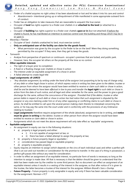

- Finder of a chattel acquires no right unless it has been abandoned or lost and he takes it into his care and control
	- Abandonment= intentional giving up or relinquishment of title manifested in some appropriate outward form of conduct.
- $\circ$  Finder has an obligation to take measures that are reasonable to acquaint the true owner.
- o Occupier of **land** has rights superior to a finder over chattels in or **attached to the land** (or attached to a building)
- o Occupier of **building** has rights superior to a finder over chattels **upon or in** (but not attached) if before the chattel is found, he has manifested an intention to exercise control over the building and things which may be in or upon it.
- *Waverley v Fletcher*
	- o Occupier of land- chattels unattached to land, must exercise control.
	- o **Only an anticipated user of the facility can claim for the goods found.** 
		- What permission was given by the occupier to the finder to be on the land? Were they doing something permitted by the occupier? If they were, then they get to keep the goods.
- *Tamworth*
	- o Analyse from perspective of spectrum or continuum- occupier's premises that are locked, and public park.
	- o However, here, the occupier let others on the property all the time so no control.
- **Other equitable interests** 
	- o The right of a buyer prior to completion
	- o A fixed or a floating charge over chattels or chose in action
	- o The interest under an equitable assignment of a chose in action
	- o A failed attempt to create legal title

#### **Legal assignments: s9 LARCO**

- "Any absolute assignment, by writing under the hand of the assignor (not purporting to be by way of charge only), of any debt or other legal chose in action, of which *express notice in writing has been given to the debtor*, trustee or other person from whom the assignor would have been entitled to receive or claim such debt or chose in action, *shall be and be deemed to have been effectual in law to pass and transfer the legal right* to such debt or chose in action from the date of such notice, and all legal and other remedies for the same, and the power to give a good discharge for the same, without the concurrence of the assignor: *Provided that if the debtor, trustee or other person liable in respect of such debt or chose in action has had notice that such assignment is disputed by the assignor* or any one claiming under him or of any other opposing or conflicting claims to such debt or chose in action, he shall be entitled to call upon the several person making claim thereto to interplead concerning the same, or he may pay the same into the court under and in conformity with the provisions of any Ordinance relating to trustees."
- o **Legal assignments** therefore require assignment of the whole (absolute); assignment to be in writing, and **notice must be given in writing** to the debtor, trustee or other person from whom the assignor would have been entitled to receive or claim debt or chose in action.
- $\circ$  Assignments which do not meet the above requirement will only take effect as 'equitable' assignments.

## **Equitable assignment:**

- o An assignment in equity can rise in the following situations:
	- a) property is legal property and either:
		- i) it is not capable of assignment at law; or
		- ii) there has been a failed attempt to assign the property at law;
	- b) property is future property (legal or equitable )
	- c) consideration has passed (legal or equitable property)
	- d) property is equitable property
- $\circ$  Equity requires an intention to assign (which depends on the circs of each individual case) and either a perfect gift (that is an out-and-out transfer) or consideration for the promise to transfer. In the case of a thing in possession, a perfect gift passes title without any need for consideration.
- $\circ$  In order to effect an assignment of an equitable interest, no particular form of words is necessary so long as the intention to assign is made clear. All that is necessary is that the debtor should be given to understand that the debt has been made over by the creditor to some third person. But no document can effect an assignment of an equitable interest unless it results in a vesting of the interest in the assignee, so that after notice of it is given to the trustee, the latter becomes a trustee of the interest for the assignee: *William Brandt's Sons v Dunlop*
- **Future Property -** Future property is only assignable in equity and only if there has been valuable consideration for the assignment: *Norman v FCT*